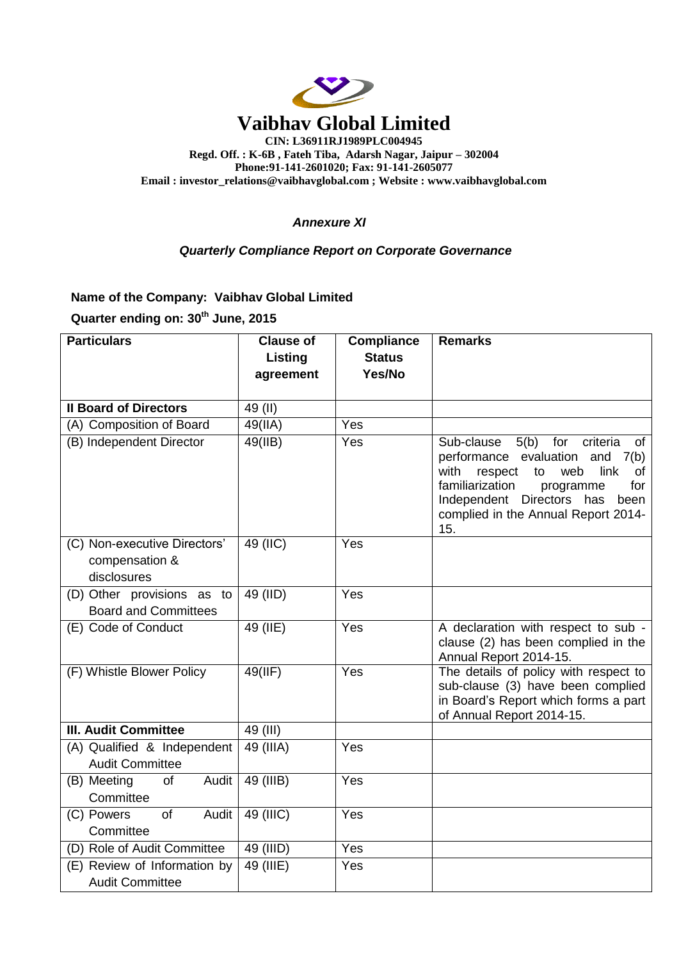

**Phone:91-141-2601020; Fax: 91-141-2605077 Email : [investor\\_relations@vaibhavglobal.com](mailto:vgl@vaibhavglobal.com) ; Website : [www.vaibhavglobal.com](http://www.vaibhavglobal.com/)**

## *Annexure XI*

## *Quarterly Compliance Report on Corporate Governance*

**Name of the Company: Vaibhav Global Limited**

**Quarter ending on: 30th June, 2015**

| <b>Particulars</b>                                            | <b>Clause of</b> | <b>Compliance</b> | <b>Remarks</b>                                                                                                                                                                                                                                               |
|---------------------------------------------------------------|------------------|-------------------|--------------------------------------------------------------------------------------------------------------------------------------------------------------------------------------------------------------------------------------------------------------|
|                                                               | Listing          | <b>Status</b>     |                                                                                                                                                                                                                                                              |
|                                                               | agreement        | Yes/No            |                                                                                                                                                                                                                                                              |
|                                                               |                  |                   |                                                                                                                                                                                                                                                              |
| <b>Il Board of Directors</b>                                  | 49 (II)          |                   |                                                                                                                                                                                                                                                              |
| (A) Composition of Board                                      | 49(IIA)          | Yes               |                                                                                                                                                                                                                                                              |
| (B) Independent Director                                      | 49(IB)           | Yes               | Sub-clause<br>5(b)<br>for<br>criteria<br>of<br>performance evaluation<br>and<br>7(b)<br>with<br>respect<br>web<br>link<br>to<br>of<br>familiarization<br>for<br>programme<br>Independent Directors has<br>been<br>complied in the Annual Report 2014-<br>15. |
| (C) Non-executive Directors'<br>compensation &<br>disclosures | 49 (IIC)         | Yes               |                                                                                                                                                                                                                                                              |
| (D) Other provisions as to<br><b>Board and Committees</b>     | 49 (IID)         | Yes               |                                                                                                                                                                                                                                                              |
| (E) Code of Conduct                                           | 49 (IIE)         | Yes               | A declaration with respect to sub -<br>clause (2) has been complied in the<br>Annual Report 2014-15.                                                                                                                                                         |
| (F) Whistle Blower Policy                                     | 49(IIF)          | Yes               | The details of policy with respect to<br>sub-clause (3) have been complied<br>in Board's Report which forms a part<br>of Annual Report 2014-15.                                                                                                              |
| <b>III. Audit Committee</b>                                   | 49 (III)         |                   |                                                                                                                                                                                                                                                              |
| (A) Qualified & Independent<br><b>Audit Committee</b>         | 49 (IIIA)        | Yes               |                                                                                                                                                                                                                                                              |
| (B) Meeting<br>of<br>Audit<br>Committee                       | 49 (IIIB)        | Yes               |                                                                                                                                                                                                                                                              |
| (C) Powers<br><b>of</b><br>Audit<br>Committee                 | 49 (IIIC)        | Yes               |                                                                                                                                                                                                                                                              |
| (D) Role of Audit Committee                                   | 49 (IIID)        | Yes               |                                                                                                                                                                                                                                                              |
| (E) Review of Information by<br><b>Audit Committee</b>        | $49$ (IIIE)      | Yes               |                                                                                                                                                                                                                                                              |